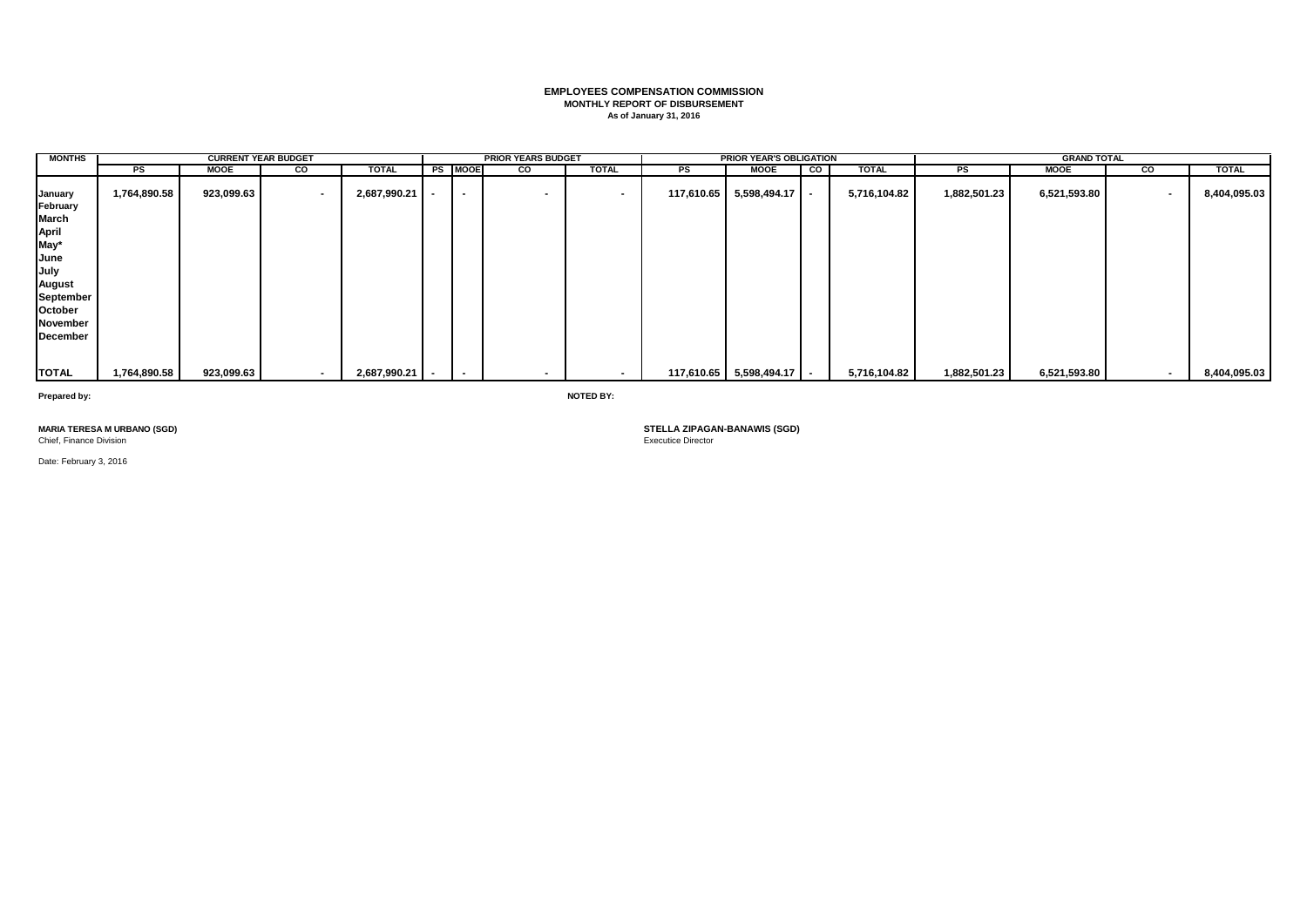# **EMPLOYEES COMPENSATION COMMISSION MONTHLY REPORT OF DISBURSEMENT As of January 31, 2016**

| <b>MONTHS</b>                                                                                                           |              | <b>CURRENT YEAR BUDGET</b> |                         |                |                          | <b>PRIOR YEARS BUDGET</b> |                |    | <b>PRIOR YEAR'S OBLIGATION</b> |   |              |              | <b>GRAND TOTAL</b> |        |              |
|-------------------------------------------------------------------------------------------------------------------------|--------------|----------------------------|-------------------------|----------------|--------------------------|---------------------------|----------------|----|--------------------------------|---|--------------|--------------|--------------------|--------|--------------|
|                                                                                                                         | PS           | <b>MOOE</b>                | $\overline{\mathbf{c}}$ | <b>TOTAL</b>   | <b>PS MOOE</b>           | g                         | <b>TOTAL</b>   | PS | <b>MOOE</b>                    | g | <b>TOTAL</b> | PS           | <b>MOOE</b>        | CO     | <b>TOTAL</b> |
| January<br>February<br>March<br>April<br>May*<br>June<br>July<br>August<br>September<br>October<br>November<br>December | 1,764,890.58 | 923,099.63                 | $\sim$                  | 2,687,990.21   | $\overline{\phantom{0}}$ |                           | $\blacksquare$ |    | $117,610.65$ 5,598,494.17 -    |   | 5,716,104.82 | 1,882,501.23 | 6,521,593.80       | $\sim$ | 8,404,095.03 |
| <b>TOTAL</b>                                                                                                            | 1,764,890.58 | 923,099.63                 | $\sim$                  | 2,687,990.21 - |                          |                           |                |    | $117,610.65$ 5,598,494.17 -    |   | 5,716,104.82 | 1,882,501.23 | 6,521,593.80       |        | 8,404,095.03 |

**Prepared by: NOTED BY:**

**MARIA TERESA M URBANO (SGD)**<br>Chief, Finance Division

Date: February 3, 2016

**STELLA ZIPAGAN-BANAWIS (SGD)**<br>Executice Director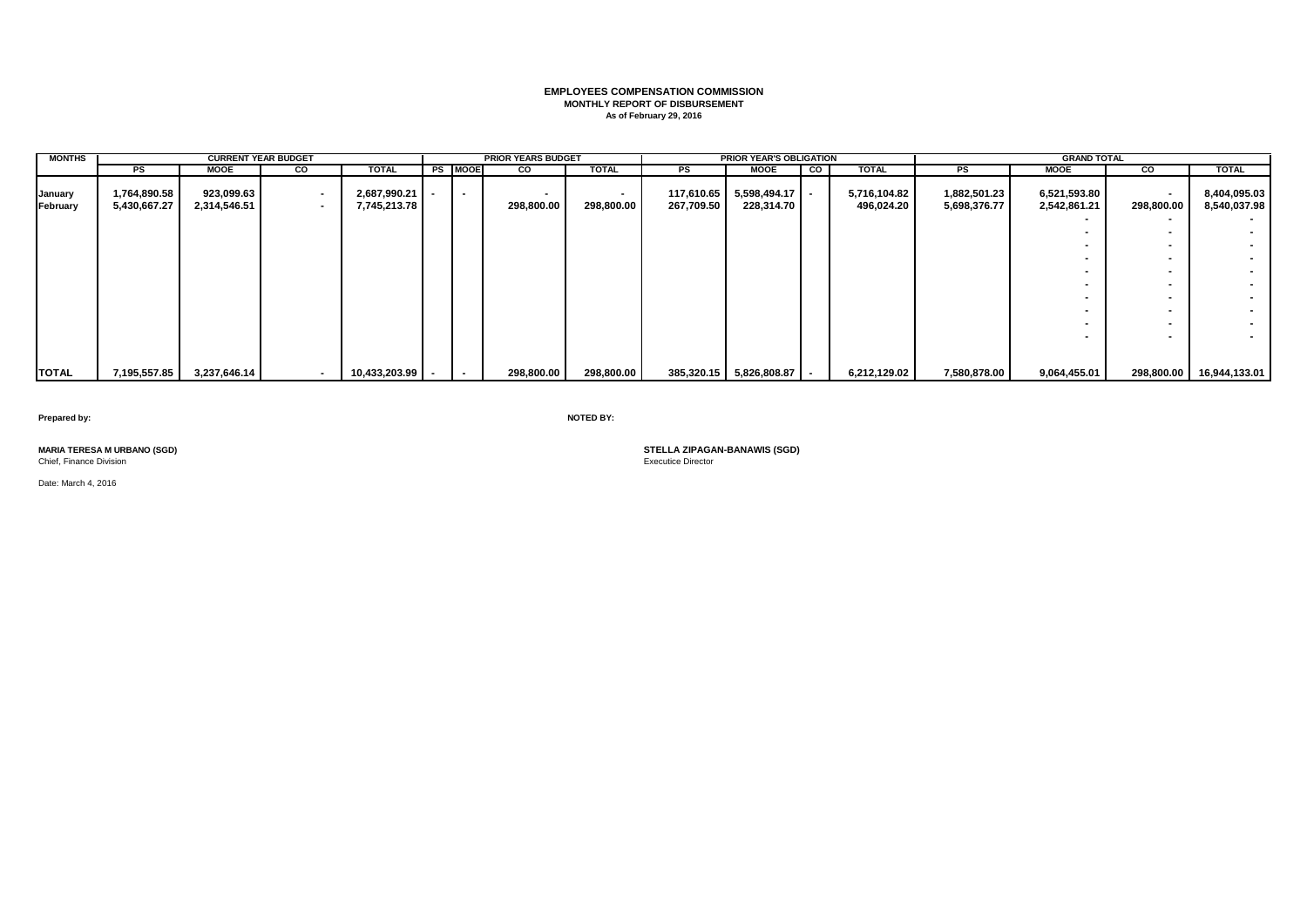# **EMPLOYEES COMPENSATION COMMISSION MONTHLY REPORT OF DISBURSEMENT As of February 29, 2016**

| <b>MONTHS</b>       |                              | <b>CURRENT YEAR BUDGET</b> |                                    |                                  |                | <b>PRIOR YEARS BUDGET</b> |                   |                          | <b>PRIOR YEAR'S OBLIGATION</b> |           |                            |                              | <b>GRAND TOTAL</b>           |                                        |                              |
|---------------------|------------------------------|----------------------------|------------------------------------|----------------------------------|----------------|---------------------------|-------------------|--------------------------|--------------------------------|-----------|----------------------------|------------------------------|------------------------------|----------------------------------------|------------------------------|
|                     | PS                           | <b>MOOE</b>                | CO                                 | TOTAL                            | <b>PS MOOE</b> | CO                        | <b>TOTAL</b>      | PS                       | <b>MOOE</b>                    | <b>CO</b> | <b>TOTAL</b>               | PS                           | <b>MOOE</b>                  | g                                      | <b>TOTAL</b>                 |
| January<br>February | 1,764,890.58<br>5,430,667.27 | 923,099.63<br>2,314,546.51 | $\overline{\phantom{a}}$<br>$\sim$ | $2,687,990.21$ -<br>7,745,213.78 | $\sim$         | 298,800.00                | . .<br>298,800.00 | 117,610.65<br>267,709.50 | 5,598,494.17<br>228,314.70     |           | 5,716,104.82<br>496,024.20 | 1,882,501.23<br>5,698,376.77 | 6,521,593.80<br>2,542,861.21 | $\overline{\phantom{a}}$<br>298,800.00 | 8,404,095.03<br>8,540,037.98 |
|                     |                              |                            |                                    |                                  |                |                           |                   |                          |                                |           |                            |                              |                              |                                        |                              |
|                     |                              |                            |                                    |                                  |                |                           |                   |                          |                                |           |                            |                              |                              |                                        | $\sim$                       |
|                     |                              |                            |                                    |                                  |                |                           |                   |                          |                                |           |                            |                              |                              |                                        | $\sim$                       |
|                     |                              |                            |                                    |                                  |                |                           |                   |                          |                                |           |                            |                              | $\overline{\phantom{a}}$     |                                        | $\sim$                       |
|                     |                              |                            |                                    |                                  |                |                           |                   |                          |                                |           |                            |                              |                              |                                        | $\sim$                       |
|                     |                              |                            |                                    |                                  |                |                           |                   |                          |                                |           |                            |                              |                              |                                        | $\sim$                       |
|                     |                              |                            |                                    |                                  |                |                           |                   |                          |                                |           |                            |                              |                              |                                        | $\sim$                       |
|                     |                              |                            |                                    |                                  |                |                           |                   |                          |                                |           |                            |                              |                              |                                        | $\sim$                       |
|                     |                              |                            |                                    |                                  |                |                           |                   |                          |                                |           |                            |                              |                              | $\overline{\phantom{a}}$               | $\overline{\phantom{a}}$     |
|                     |                              |                            |                                    |                                  |                |                           |                   |                          |                                |           |                            |                              |                              |                                        |                              |
| <b>TOTAL</b>        | 7,195,557.85                 | 3,237,646.14               | $\blacksquare$                     | 10,433,203.99                    |                | 298,800.00                | 298,800.00        |                          | 385,320.15 5,826,808.87        |           | 6,212,129.02               | 7,580,878.00                 | 9,064,455.01                 | 298,800.00                             | 16,944,133.01                |

**Prepared by: NOTED BY:**

Chief, Finance Division

Date: March 4, 2016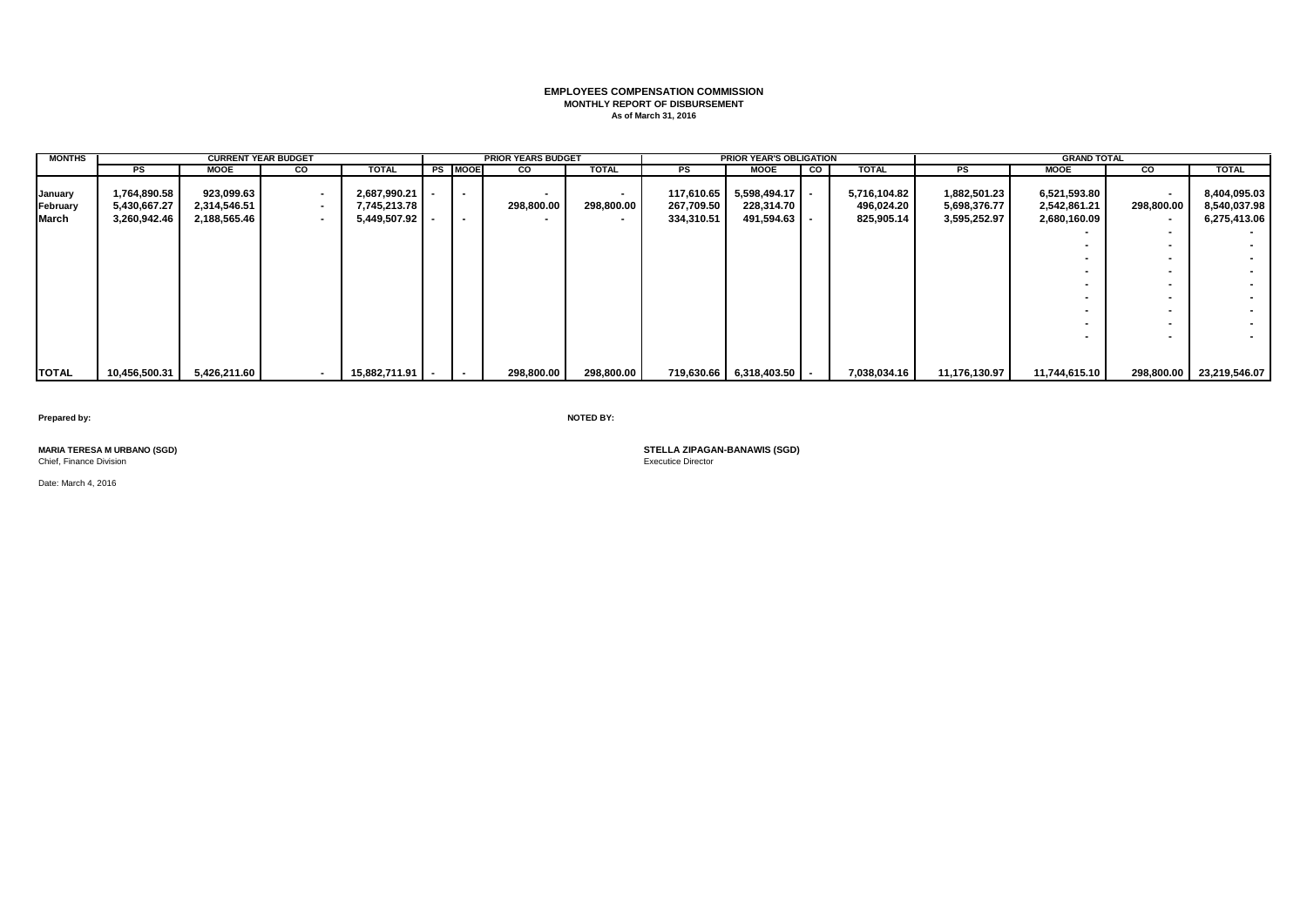# **EMPLOYEES COMPENSATION COMMISSION MONTHLY REPORT OF DISBURSEMENT As of March 31, 2016**

| <b>MONTHS</b>                |                                              | <b>CURRENT YEAR BUDGET</b>                 |                            |                                                  |                          | <b>PRIOR YEARS BUDGET</b> |              |                                        | <b>PRIOR YEAR'S OBLIGATION</b>           |   |                                          |                                              | <b>GRAND TOTAL</b>                           |                                                |                                              |
|------------------------------|----------------------------------------------|--------------------------------------------|----------------------------|--------------------------------------------------|--------------------------|---------------------------|--------------|----------------------------------------|------------------------------------------|---|------------------------------------------|----------------------------------------------|----------------------------------------------|------------------------------------------------|----------------------------------------------|
|                              | PS                                           | <b>MOOE</b>                                | CO                         | <b>TOTAL</b>                                     | <b>PS MOOE</b>           | <b>CO</b>                 | <b>TOTAL</b> | PS                                     | <b>MOOE</b>                              | g | <b>TOTAL</b>                             | PS                                           | <b>MOOE</b>                                  | <b>CO</b>                                      | <b>TOTAL</b>                                 |
| January<br>February<br>March | 1,764,890.58<br>5,430,667.27<br>3,260,942.46 | 923,099.63<br>2,314,546.51<br>2,188,565.46 | $\sim$<br>$\sim$<br>$\sim$ | 2,687,990.21<br>7,745,213.78<br>$5,449,507.92$ - | $\overline{\phantom{a}}$ | 298,800.00                | 298,800.00   | 117,610.65<br>267,709.50<br>334,310.51 | 5,598,494.17<br>228,314.70<br>491,594.63 |   | 5,716,104.82<br>496,024.20<br>825,905.14 | 1,882,501.23<br>5,698,376.77<br>3,595,252.97 | 6,521,593.80<br>2,542,861.21<br>2,680,160.09 | $\overline{\phantom{a}}$<br>298,800.00<br>$\,$ | 8,404,095.03<br>8,540,037.98<br>6,275,413.06 |
|                              |                                              |                                            |                            |                                                  |                          |                           |              |                                        |                                          |   |                                          |                                              |                                              |                                                | $\sim$<br>$\sim$                             |
|                              |                                              |                                            |                            |                                                  |                          |                           |              |                                        |                                          |   |                                          |                                              |                                              |                                                | $\sim$<br>$\sim$                             |
|                              |                                              |                                            |                            |                                                  |                          |                           |              |                                        |                                          |   |                                          |                                              |                                              |                                                | $\sim$                                       |
|                              |                                              |                                            |                            |                                                  |                          |                           |              |                                        |                                          |   |                                          |                                              |                                              |                                                | $\sim$                                       |
|                              |                                              |                                            |                            |                                                  |                          |                           |              |                                        |                                          |   |                                          |                                              |                                              |                                                |                                              |
| <b>TOTAL</b>                 | 10,456,500.31                                | 5,426,211.60                               | $\blacksquare$             | 15,882,711.91                                    |                          | 298,800.00                | 298,800.00   |                                        | 719,630.66 6,318,403.50                  |   | 7,038,034.16                             | 11,176,130.97                                | 11,744,615.10                                | 298,800.00                                     | 23,219,546.07                                |

**Prepared by: NOTED BY:**

Chief, Finance Division

Date: March 4, 2016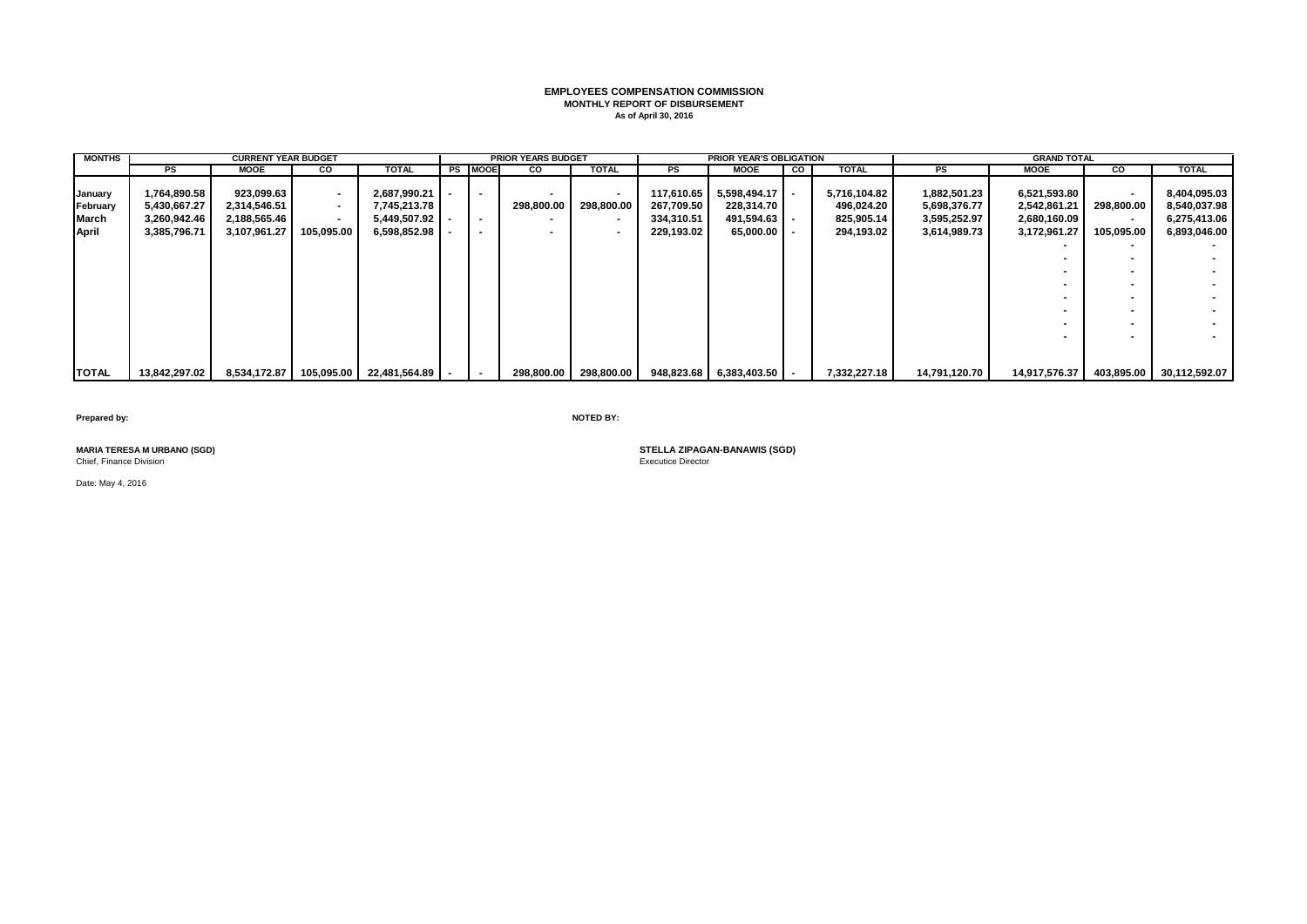# **EMPLOYEES COMPENSATION COMMISSION MONTHLY REPORT OF DISBURSEMENT As of April 30, 2016**

| <b>MONTHS</b>                         |                                                              | <b>CURRENT YEAR BUDGET</b>                                 |                                                                            |                                                              |                                                                | <b>PRIOR YEARS BUDGET</b> |                              |                                                      | <b>PRIOR YEAR'S OBLIGATION</b>                                |    |                                                        |                                                              | <b>GRAND TOTAL</b>                                           |                                                                |                                                              |
|---------------------------------------|--------------------------------------------------------------|------------------------------------------------------------|----------------------------------------------------------------------------|--------------------------------------------------------------|----------------------------------------------------------------|---------------------------|------------------------------|------------------------------------------------------|---------------------------------------------------------------|----|--------------------------------------------------------|--------------------------------------------------------------|--------------------------------------------------------------|----------------------------------------------------------------|--------------------------------------------------------------|
|                                       | PS                                                           | MOOE                                                       | CO                                                                         | TOTAL                                                        | <b>PS MOOE</b>                                                 | CO                        | <b>TOTAL</b>                 | PS                                                   | <b>MOOE</b>                                                   | CO | <b>TOTAL</b>                                           | PS                                                           | MOOE                                                         | CO                                                             | <b>TOTAL</b>                                                 |
| January<br>February<br>March<br>April | 1,764,890.58<br>5,430,667.27<br>3,260,942.46<br>3,385,796.71 | 923,099.63<br>2,314,546.51<br>2,188,565.46<br>3,107,961.27 | $\blacksquare$<br>$\overline{\phantom{a}}$<br>$\blacksquare$<br>105,095.00 | 2,687,990.21<br>7,745,213.78<br>5,449,507.92<br>6,598,852.98 | $\overline{\phantom{a}}$<br>$\overline{\phantom{a}}$<br>$\sim$ | 298,800.00                | $\blacksquare$<br>298,800.00 | 117,610.65<br>267,709.50<br>334,310.51<br>229,193.02 | $5,598,494.17$ -<br>228,314.70<br>491,594.63<br>$65,000.00$ - |    | 5,716,104.82<br>496,024.20<br>825,905.14<br>294,193.02 | 1,882,501.23<br>5,698,376.77<br>3,595,252.97<br>3,614,989.73 | 6,521,593.80<br>2,542,861.21<br>2,680,160.09<br>3,172,961.27 | $\overline{\phantom{0}}$<br>298,800.00<br>$\sim$<br>105,095.00 | 8,404,095.03<br>8,540,037.98<br>6,275,413.06<br>6,893,046.00 |
|                                       |                                                              |                                                            |                                                                            |                                                              |                                                                |                           |                              |                                                      |                                                               |    |                                                        |                                                              |                                                              |                                                                |                                                              |
|                                       |                                                              |                                                            |                                                                            |                                                              |                                                                |                           |                              |                                                      |                                                               |    |                                                        |                                                              |                                                              |                                                                |                                                              |
|                                       |                                                              |                                                            |                                                                            |                                                              |                                                                |                           |                              |                                                      |                                                               |    |                                                        |                                                              |                                                              |                                                                |                                                              |
|                                       |                                                              |                                                            |                                                                            |                                                              |                                                                |                           |                              |                                                      |                                                               |    |                                                        |                                                              |                                                              |                                                                |                                                              |
|                                       |                                                              |                                                            |                                                                            |                                                              |                                                                |                           |                              |                                                      |                                                               |    |                                                        |                                                              |                                                              |                                                                |                                                              |
|                                       |                                                              |                                                            |                                                                            |                                                              |                                                                |                           |                              |                                                      |                                                               |    |                                                        |                                                              |                                                              |                                                                |                                                              |
|                                       |                                                              |                                                            |                                                                            |                                                              |                                                                |                           |                              |                                                      |                                                               |    |                                                        |                                                              |                                                              |                                                                |                                                              |
|                                       |                                                              |                                                            |                                                                            |                                                              |                                                                |                           |                              |                                                      |                                                               |    |                                                        |                                                              |                                                              |                                                                |                                                              |
|                                       |                                                              |                                                            |                                                                            |                                                              |                                                                |                           |                              |                                                      |                                                               |    |                                                        |                                                              |                                                              |                                                                |                                                              |
| <b>TOTAL</b>                          | 13,842,297.02                                                | 8,534,172.87                                               |                                                                            | 105,095.00 22,481,564.89                                     |                                                                | 298.800.00                | 298,800.00                   |                                                      | $948,823.68$ 6,383,403.50                                     |    | 7,332,227.18                                           | 14,791,120.70                                                | 14,917,576.37                                                | 403,895.00                                                     | 30,112,592.07                                                |

**Prepared by: NOTED BY:**

Chief, Finance Division

Date: May 4, 2016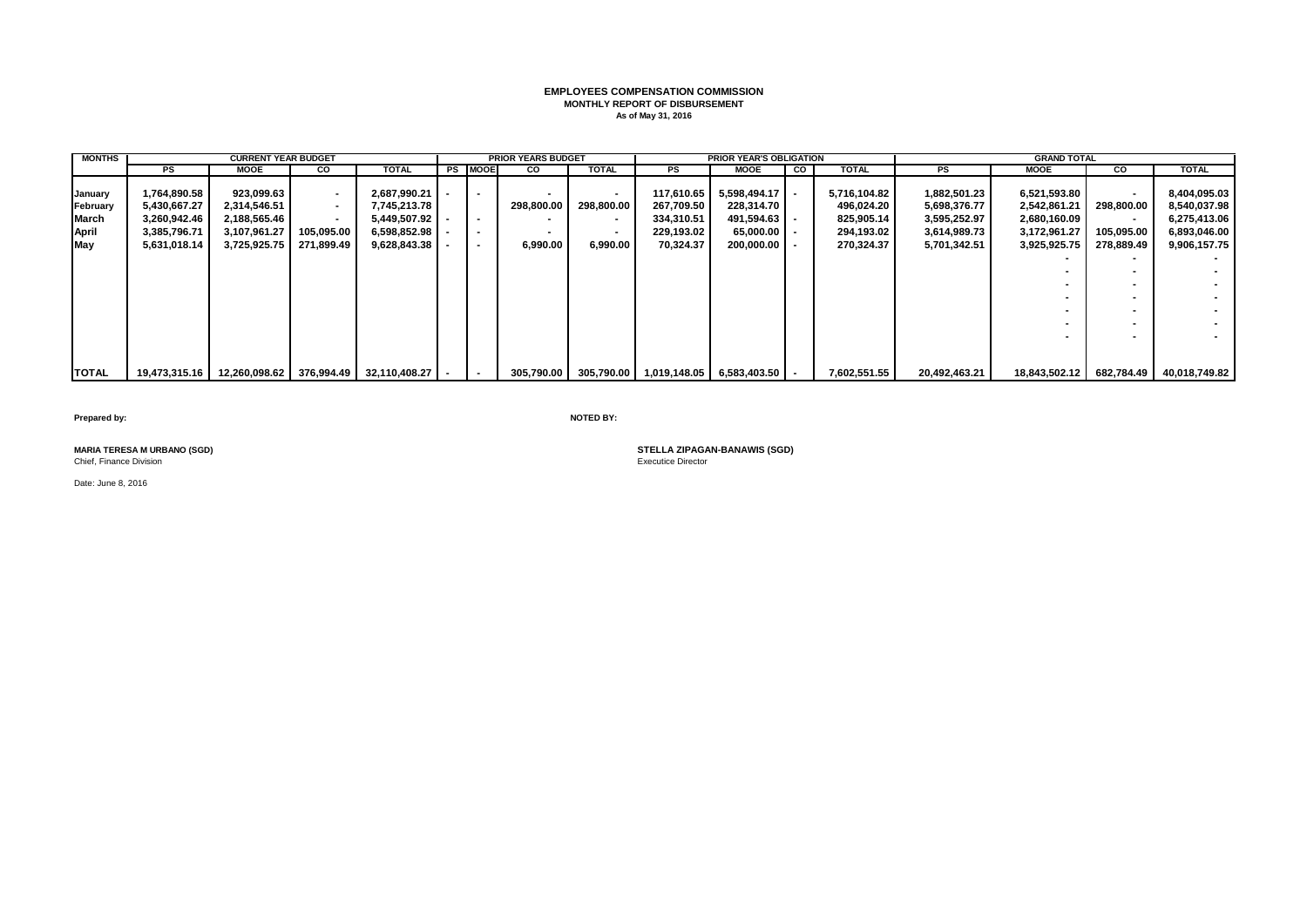# **EMPLOYEES COMPENSATION COMMISSION MONTHLY REPORT OF DISBURSEMENT As of May 31, 2016**

| <b>MONTHS</b> |              | <b>CURRENT YEAR BUDGET</b> |                          |                                                            |                          | <b>PRIOR YEARS BUDGET</b> |                          |            | <b>PRIOR YEAR'S OBLIGATION</b>                    |    |              |               | <b>GRAND TOTAL</b> |                          |                                            |
|---------------|--------------|----------------------------|--------------------------|------------------------------------------------------------|--------------------------|---------------------------|--------------------------|------------|---------------------------------------------------|----|--------------|---------------|--------------------|--------------------------|--------------------------------------------|
|               | PS           | MOOE                       | <b>CO</b>                | TOTAL                                                      | <b>PS MOOE</b>           | <b>CO</b>                 | <b>TOTAL</b>             | PS         | <b>MOOE</b>                                       | CO | <b>TOTAL</b> | PS            | MOOE               | CO                       | <b>TOTAL</b>                               |
|               |              |                            |                          |                                                            |                          |                           |                          |            |                                                   |    |              |               |                    |                          |                                            |
| January       | 1,764,890.58 | 923,099.63                 | $\sim$                   | 2,687,990.21                                               | $\overline{\phantom{a}}$ |                           | $\blacksquare$           | 117,610.65 | 5,598,494.17                                      |    | 5,716,104.82 | 1,882,501.23  | 6,521,593.80       | $\overline{\phantom{a}}$ | 8,404,095.03                               |
| February      | 5,430,667.27 | 2,314,546.51               | $\sim$                   | 7,745,213.78                                               |                          | 298.800.00                | 298,800.00               | 267,709.50 | 228,314.70                                        |    | 496,024.20   | 5,698,376.77  | 2,542,861.21       | 298.800.00               | 8,540,037.98                               |
| March         | 3,260,942.46 | 2,188,565.46               | $\overline{\phantom{a}}$ | 5,449,507.92                                               | $\sim$                   |                           |                          | 334,310.51 | 491,594.63                                        |    | 825,905.14   | 3,595,252.97  | 2,680,160.09       | $\overline{\phantom{a}}$ | 6,275,413.06                               |
| <b>April</b>  | 3,385,796.71 | 3,107,961.27               | 105,095.00               | 6,598,852.98                                               | $\overline{\phantom{a}}$ |                           | $\overline{\phantom{a}}$ | 229.193.02 | $65.000.00$ -                                     |    | 294,193.02   | 3,614,989.73  | 3,172,961.27       | 105,095.00               | 6,893,046.00                               |
| May           | 5,631,018.14 | 3,725,925.75               | 271,899.49               | 9,628,843.38                                               | $\overline{\phantom{a}}$ | 6,990.00                  | 6,990.00                 | 70,324.37  | 200,000.00                                        |    | 270,324.37   | 5,701,342.51  | 3,925,925.75       | 278,889.49               | 9,906,157.75                               |
|               |              |                            |                          |                                                            |                          |                           |                          |            |                                                   |    |              |               |                    |                          |                                            |
|               |              |                            |                          |                                                            |                          |                           |                          |            |                                                   |    |              |               |                    |                          |                                            |
|               |              |                            |                          |                                                            |                          |                           |                          |            |                                                   |    |              |               |                    |                          |                                            |
|               |              |                            |                          |                                                            |                          |                           |                          |            |                                                   |    |              |               |                    |                          |                                            |
|               |              |                            |                          |                                                            |                          |                           |                          |            |                                                   |    |              |               |                    |                          |                                            |
|               |              |                            |                          |                                                            |                          |                           |                          |            |                                                   |    |              |               |                    |                          |                                            |
|               |              |                            |                          |                                                            |                          |                           |                          |            |                                                   |    |              |               |                    |                          |                                            |
|               |              |                            |                          |                                                            |                          |                           |                          |            |                                                   |    |              |               |                    |                          |                                            |
|               |              |                            |                          |                                                            |                          |                           |                          |            |                                                   |    |              |               |                    |                          |                                            |
| <b>TOTAL</b>  |              |                            |                          | 19,473,315.16   12,260,098.62   376,994.49   32,110,408.27 | $\sim$                   |                           |                          |            | 305,790.00 305,790.00 1,019,148.05 6,583,403.50 - |    | 7,602,551.55 | 20,492,463.21 |                    |                          | 18,843,502.12   682,784.49   40,018,749.82 |

**Prepared by: NOTED BY:**

Chief, Finance Division

**MARIA TERESA M URBANO (SGD) STELLA ZIPAGAN-BANAWIS (SGD)**

Date: June 8, 2016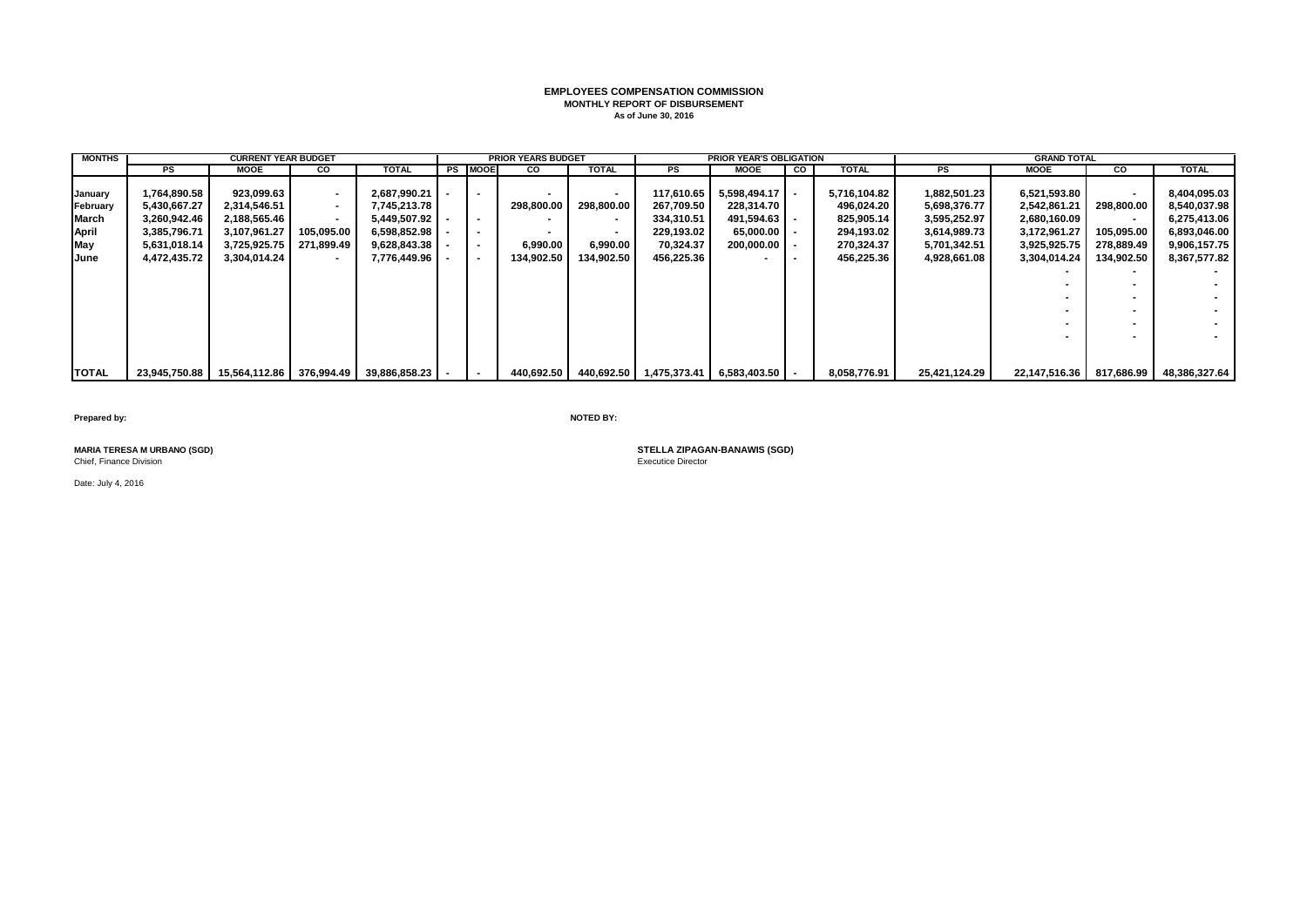# **EMPLOYEES COMPENSATION COMMISSION MONTHLY REPORT OF DISBURSEMENT As of June 30, 2016**

| <b>MONTHS</b> |              | <b>CURRENT YEAR BUDGET</b>                                     |                          |                |                          | <b>PRIOR YEARS BUDGET</b> |                |            | <b>PRIOR YEAR'S OBLIGATION</b>         |    |              |               | <b>GRAND TOTAL</b> |                          |                                            |
|---------------|--------------|----------------------------------------------------------------|--------------------------|----------------|--------------------------|---------------------------|----------------|------------|----------------------------------------|----|--------------|---------------|--------------------|--------------------------|--------------------------------------------|
|               | <b>PS</b>    | MOOE                                                           | <b>CO</b>                | TOTAL          | <b>PS MOOE</b>           | <b>CO</b>                 | <b>TOTAL</b>   | PS         | <b>MOOE</b>                            | CO | <b>TOTAL</b> | PS            | MOOE               | cо                       | <b>TOTAL</b>                               |
|               |              |                                                                |                          |                |                          |                           |                |            |                                        |    |              |               |                    |                          |                                            |
| January       | 1,764,890.58 | 923,099.63                                                     | $\sim$                   | 2,687,990.21   | $\overline{\phantom{a}}$ |                           | $\blacksquare$ | 117,610.65 | 5,598,494.17                           |    | 5,716,104.82 | 1,882,501.23  | 6,521,593.80       | $\overline{\phantom{a}}$ | 8,404,095.03                               |
| February      | 5,430,667.27 | 2,314,546.51                                                   | $\sim$                   | 7,745,213.78   |                          | 298.800.00                | 298,800.00     | 267,709.50 | 228.314.70                             |    | 496,024.20   | 5,698,376.77  | 2,542,861.21       | 298.800.00               | 8,540,037.98                               |
| March         | 3,260,942.46 | 2,188,565.46                                                   | $\overline{\phantom{a}}$ | 5,449,507.92   | $\overline{\phantom{a}}$ |                           |                | 334,310.51 | 491,594.63                             |    | 825,905.14   | 3,595,252.97  | 2,680,160.09       | $\overline{\phantom{a}}$ | 6,275,413.06                               |
| <b>April</b>  | 3,385,796.71 | 3,107,961.27                                                   | 105.095.00               | 6,598,852.98   | $\blacksquare$           |                           |                | 229.193.02 | $65.000.00$ -                          |    | 294,193.02   | 3,614,989.73  | 3,172,961.27       | 105.095.00               | 6,893,046.00                               |
| May           | 5,631,018.14 | 3,725,925.75                                                   | 271,899.49               | 9,628,843.38   | $\overline{\phantom{a}}$ | 6,990.00                  | 6,990.00       | 70,324.37  | 200,000.00                             |    | 270,324.37   | 5,701,342.51  | 3,925,925.75       | 278,889.49               | 9,906,157.75                               |
| June          | 4,472,435.72 | 3,304,014.24                                                   | $\sim$                   | 7,776,449.96 - | $\sim$                   | 134,902.50                | 134,902.50     | 456,225.36 |                                        |    | 456,225.36   | 4,928,661.08  | 3,304,014.24       | 134,902.50               | 8,367,577.82                               |
|               |              |                                                                |                          |                |                          |                           |                |            |                                        |    |              |               |                    |                          |                                            |
|               |              |                                                                |                          |                |                          |                           |                |            |                                        |    |              |               |                    |                          |                                            |
|               |              |                                                                |                          |                |                          |                           |                |            |                                        |    |              |               |                    |                          |                                            |
|               |              |                                                                |                          |                |                          |                           |                |            |                                        |    |              |               |                    |                          |                                            |
|               |              |                                                                |                          |                |                          |                           |                |            |                                        |    |              |               |                    | $\overline{\phantom{a}}$ |                                            |
|               |              |                                                                |                          |                |                          |                           |                |            |                                        |    |              |               |                    |                          |                                            |
|               |              |                                                                |                          |                |                          |                           |                |            |                                        |    |              |               |                    |                          |                                            |
|               |              |                                                                |                          |                |                          |                           |                |            |                                        |    |              |               |                    |                          |                                            |
| <b>TOTAL</b>  |              | 23,945,750.88   15,564,112.86   376,994.49   39,886,858.23   - |                          |                | $\sim$                   | 440,692.50                |                |            | 440,692.50 1.475,373.41 6,583,403.50 - |    | 8,058,776.91 | 25,421,124.29 |                    |                          | 22,147,516.36   817,686.99   48,386,327.64 |

**Prepared by: NOTED BY:**

Chief, Finance Division

**MARIA TERESA M URBANO (SGD) STELLA ZIPAGAN-BANAWIS (SGD)**

Date: July 4, 2016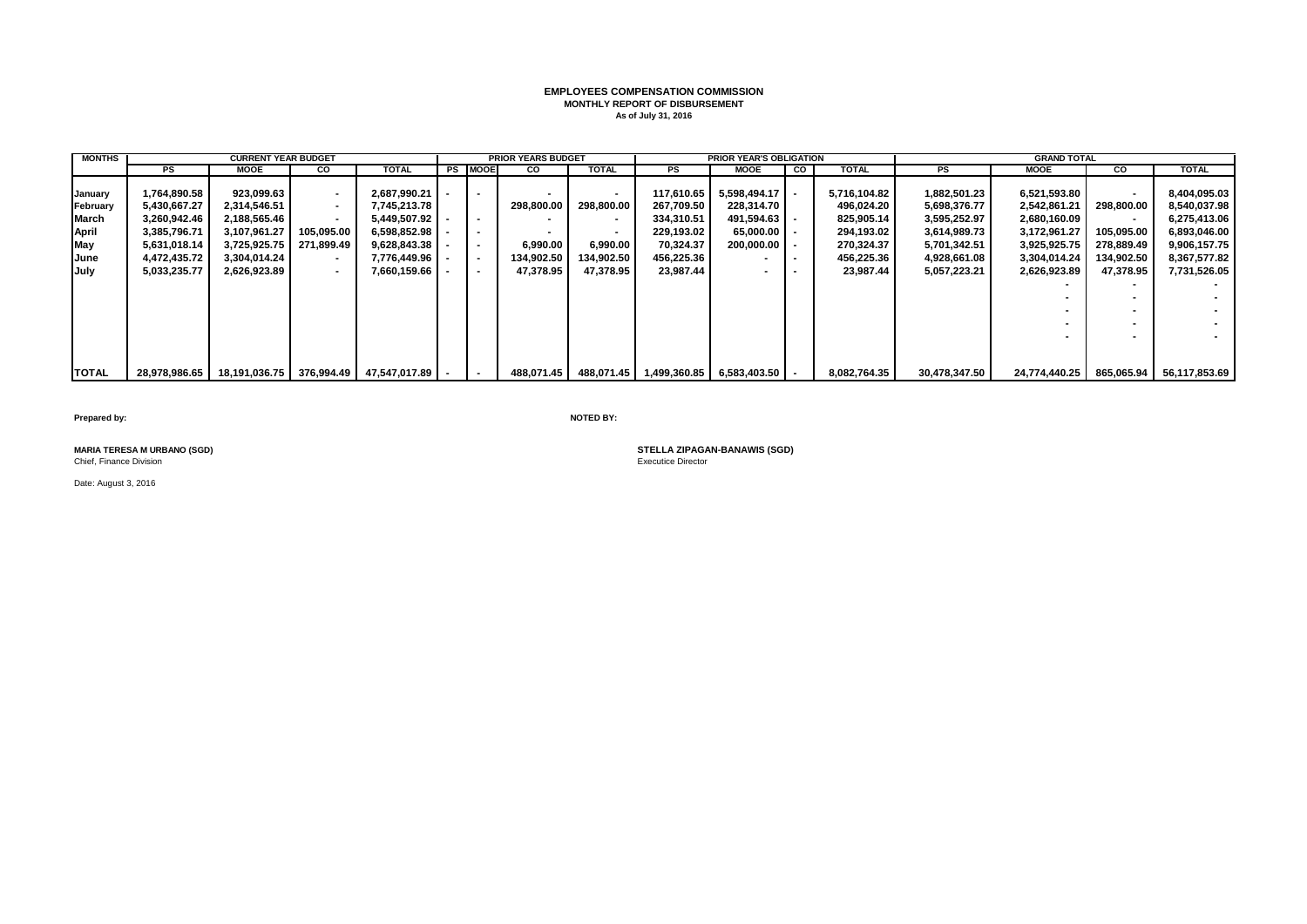# **EMPLOYEES COMPENSATION COMMISSION MONTHLY REPORT OF DISBURSEMENT As of July 31, 2016**

| <b>MONTHS</b> |               | <b>CURRENT YEAR BUDGET</b> |                |                                            |                | <b>PRIOR YEARS BUDGET</b> |              |            | <b>PRIOR YEAR'S OBLIGATION</b>               |    |              |               | <b>GRAND TOTAL</b> |                          |               |
|---------------|---------------|----------------------------|----------------|--------------------------------------------|----------------|---------------------------|--------------|------------|----------------------------------------------|----|--------------|---------------|--------------------|--------------------------|---------------|
|               | PS            | <b>MOOE</b>                | <b>CO</b>      | <b>TOTAL</b>                               | <b>PS MOOE</b> | <b>CO</b>                 | <b>TOTAL</b> | <b>PS</b>  | MOOE                                         | CO | <b>TOTAL</b> | PS            | <b>MOOE</b>        | CO                       | <b>TOTAL</b>  |
|               |               |                            |                |                                            |                |                           |              |            |                                              |    |              |               |                    |                          |               |
| January       | 1,764,890.58  | 923,099.63                 | $\sim$         | 2.687.990.21                               | $\sim$         |                           |              | 117.610.65 | 5.598.494.17                                 |    | 5,716,104.82 | 1,882,501.23  | 6,521,593.80       | $\overline{\phantom{a}}$ | 8,404,095.03  |
| February      | 5,430,667.27  | 2,314,546.51               | $\sim$         | 7,745,213.78                               |                | 298.800.00                | 298,800.00   | 267,709.50 | 228.314.70                                   |    | 496,024.20   | 5,698,376.77  | 2,542,861.21       | 298.800.00               | 8,540,037.98  |
| March         | 3,260,942.46  | 2,188,565.46               | $\blacksquare$ | 5,449,507.92                               | $\sim$         |                           |              | 334,310.51 | 491,594.63                                   |    | 825,905.14   | 3,595,252.97  | 2,680,160.09       | $\overline{\phantom{a}}$ | 6,275,413.06  |
| April         | 3,385,796.71  | 3,107,961.27               | 105,095.00     | 6,598,852.98                               | $\blacksquare$ |                           |              | 229.193.02 | $65.000.00$ $\blacksquare$                   |    | 294,193.02   | 3,614,989.73  | 3,172,961.27       | 105.095.00               | 6,893,046.00  |
| May           | 5,631,018.14  | 3,725,925.75               | 271,899.49     | 9,628,843.38                               | $\blacksquare$ | 6,990.00                  | 6,990.00     | 70,324.37  | 200,000.00                                   |    | 270,324.37   | 5,701,342.51  | 3,925,925.75       | 278.889.49               | 9,906,157.75  |
| June          | 4,472,435.72  | 3,304,014.24               | $\sim$         | 7.776.449.96                               | $\sim$         | 134,902.50                | 134,902.50   | 456,225.36 |                                              |    | 456,225.36   | 4,928,661.08  | 3,304,014.24       | 134,902.50               | 8,367,577.82  |
| July          | 5,033,235.77  | 2,626,923.89               | $\blacksquare$ | 7,660,159.66                               | $\blacksquare$ | 47,378.95                 | 47,378.95    | 23,987.44  |                                              |    | 23,987.44    | 5,057,223.21  | 2,626,923.89       | 47,378.95                | 7,731,526.05  |
|               |               |                            |                |                                            |                |                           |              |            |                                              |    |              |               |                    | $\sim$                   |               |
|               |               |                            |                |                                            |                |                           |              |            |                                              |    |              |               |                    |                          |               |
|               |               |                            |                |                                            |                |                           |              |            |                                              |    |              |               |                    |                          |               |
|               |               |                            |                |                                            |                |                           |              |            |                                              |    |              |               |                    |                          |               |
|               |               |                            |                |                                            |                |                           |              |            |                                              |    |              |               |                    | $\sim$                   |               |
|               |               |                            |                |                                            |                |                           |              |            |                                              |    |              |               |                    |                          |               |
|               |               |                            |                |                                            |                |                           |              |            |                                              |    |              |               |                    |                          |               |
| <b>TOTAL</b>  | 28.978.986.65 |                            |                | 18,191,036.75   376,994.49   47,547,017.89 | $\sim$         | 488.071.45                |              |            | 488,071.45   1,499,360.85   6,583,403.50   - |    | 8,082,764.35 | 30,478,347.50 | 24,774,440.25      | 865,065.94               | 56,117,853.69 |

**Prepared by: NOTED BY:**

Chief, Finance Division

Date: August 3, 2016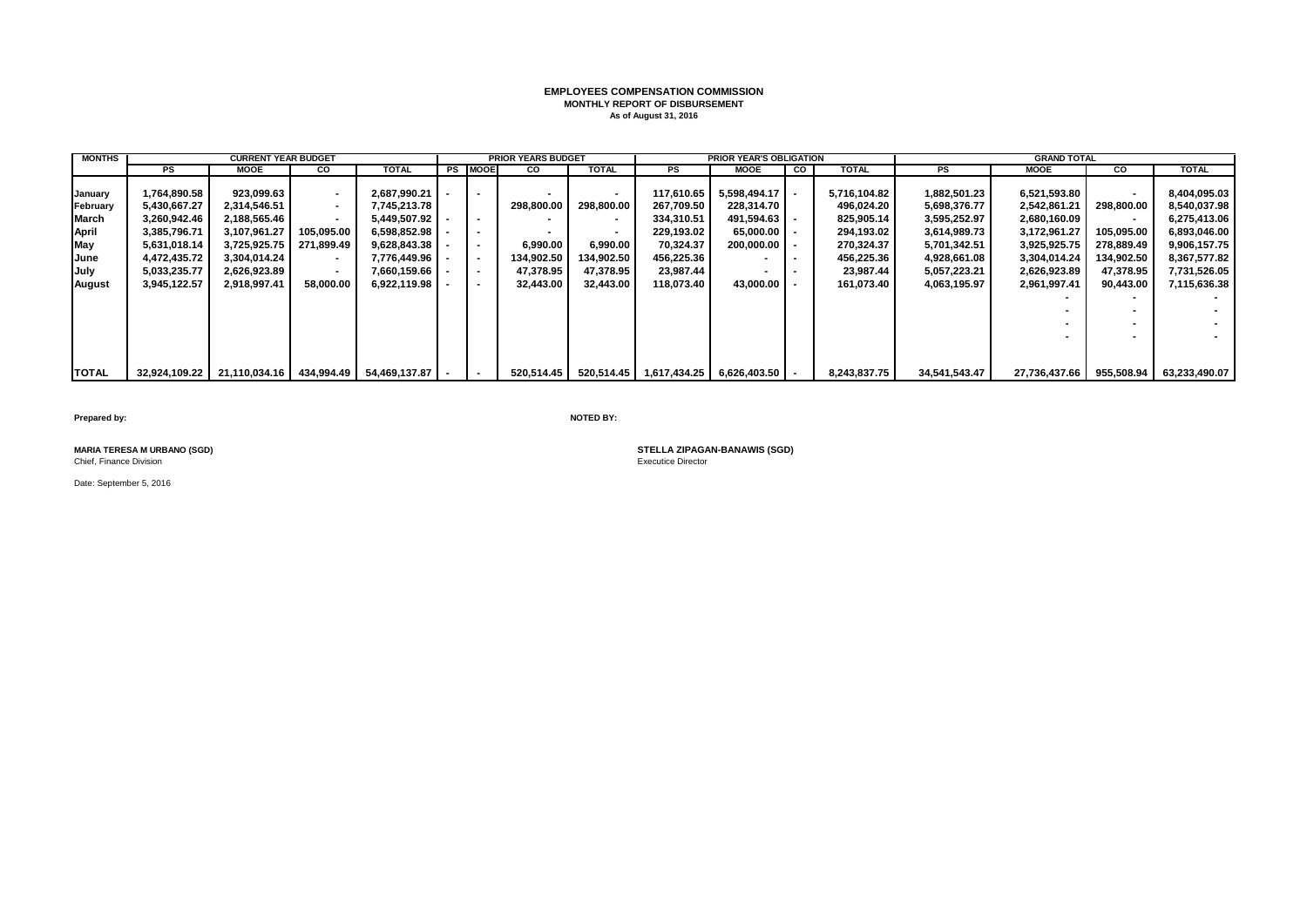# **EMPLOYEES COMPENSATION COMMISSION MONTHLY REPORT OF DISBURSEMENT As of August 31, 2016**

| <b>MONTHS</b> |               | <b>CURRENT YEAR BUDGET</b> |                |                                            |                          | <b>PRIOR YEARS BUDGET</b> |              |            | <b>PRIOR YEAR'S OBLIGATION</b>               |           |              |               | <b>GRAND TOTAL</b> |                          |               |
|---------------|---------------|----------------------------|----------------|--------------------------------------------|--------------------------|---------------------------|--------------|------------|----------------------------------------------|-----------|--------------|---------------|--------------------|--------------------------|---------------|
|               | PS            | MOOE                       | <b>CO</b>      | <b>TOTAL</b>                               | <b>PS MOOE</b>           | <b>CO</b>                 | <b>TOTAL</b> | <b>PS</b>  | <b>MOOE</b>                                  | <b>CO</b> | <b>TOTAL</b> | PS            | <b>MOOE</b>        | CO                       | <b>TOTAL</b>  |
|               |               |                            |                |                                            |                          |                           |              |            |                                              |           |              |               |                    |                          |               |
| January       | 1,764,890.58  | 923,099.63                 | $\sim$         | 2.687.990.21                               | $\sim$                   |                           |              | 117.610.65 | 5.598.494.17                                 |           | 5,716,104.82 | 1,882,501.23  | 6,521,593.80       | $\overline{\phantom{a}}$ | 8,404,095.03  |
| February      | 5,430,667.27  | 2,314,546.51               | $\sim$         | 7,745,213.78                               |                          | 298.800.00                | 298,800.00   | 267.709.50 | 228.314.70                                   |           | 496,024.20   | 5,698,376.77  | 2,542,861.21       | 298.800.00               | 8,540,037.98  |
| March         | 3,260,942.46  | 2,188,565.46               | $\blacksquare$ | 5,449,507.92                               | $\sim$                   |                           |              | 334,310.51 | 491,594.63                                   |           | 825,905.14   | 3,595,252.97  | 2,680,160.09       | $\overline{\phantom{a}}$ | 6,275,413.06  |
| April         | 3.385.796.71  | 3.107.961.27               | 105.095.00     | 6.598.852.98                               | $\blacksquare$           |                           |              | 229.193.02 | $65.000.00$ $\blacksquare$                   |           | 294.193.02   | 3,614,989.73  | 3.172.961.27       | 105.095.00               | 6.893.046.00  |
| May           | 5,631,018.14  | 3,725,925.75               | 271.899.49     | 9,628,843.38                               | $\sim$                   | 6,990.00                  | 6,990.00     | 70,324.37  | 200.000.00                                   |           | 270,324.37   | 5,701,342.51  | 3,925,925.75       | 278.889.49               | 9,906,157.75  |
| June          | 4,472,435.72  | 3.304.014.24               | $\sim$         | 7.776.449.96   -                           | $\sim$                   | 134,902.50                | 134,902.50   | 456.225.36 |                                              |           | 456,225.36   | 4,928,661.08  | 3,304,014.24       | 134,902.50               | 8,367,577.82  |
| July          | 5,033,235.77  | 2,626,923.89               | $\blacksquare$ | 7,660,159.66                               | $\sim$                   | 47,378.95                 | 47,378.95    | 23,987.44  |                                              |           | 23,987.44    | 5,057,223.21  | 2,626,923.89       | 47,378.95                | 7,731,526.05  |
| August        | 3,945,122.57  | 2,918,997.41               | 58,000.00      | 6,922,119.98                               | $\sim$                   | 32,443.00                 | 32,443.00    | 118,073.40 | 43.000.00                                    |           | 161,073.40   | 4,063,195.97  | 2,961,997.41       | 90,443.00                | 7,115,636.38  |
|               |               |                            |                |                                            |                          |                           |              |            |                                              |           |              |               |                    | $\sim$                   |               |
|               |               |                            |                |                                            |                          |                           |              |            |                                              |           |              |               |                    |                          |               |
|               |               |                            |                |                                            |                          |                           |              |            |                                              |           |              |               |                    | $\overline{\phantom{a}}$ |               |
|               |               |                            |                |                                            |                          |                           |              |            |                                              |           |              |               |                    | $\overline{\phantom{a}}$ |               |
|               |               |                            |                |                                            |                          |                           |              |            |                                              |           |              |               |                    |                          |               |
|               |               |                            |                |                                            |                          |                           |              |            |                                              |           |              |               |                    |                          |               |
| <b>TOTAL</b>  | 32.924.109.22 |                            |                | 21,110,034.16   434,994.49   54,469,137.87 | $\overline{\phantom{a}}$ | 520.514.45                |              |            | 520,514.45   1,617,434.25   6,626,403.50   - |           | 8,243,837.75 | 34,541,543.47 | 27.736.437.66      | 955,508.94               | 63,233,490.07 |

**Prepared by: NOTED BY:**

Chief, Finance Division

Date: September 5, 2016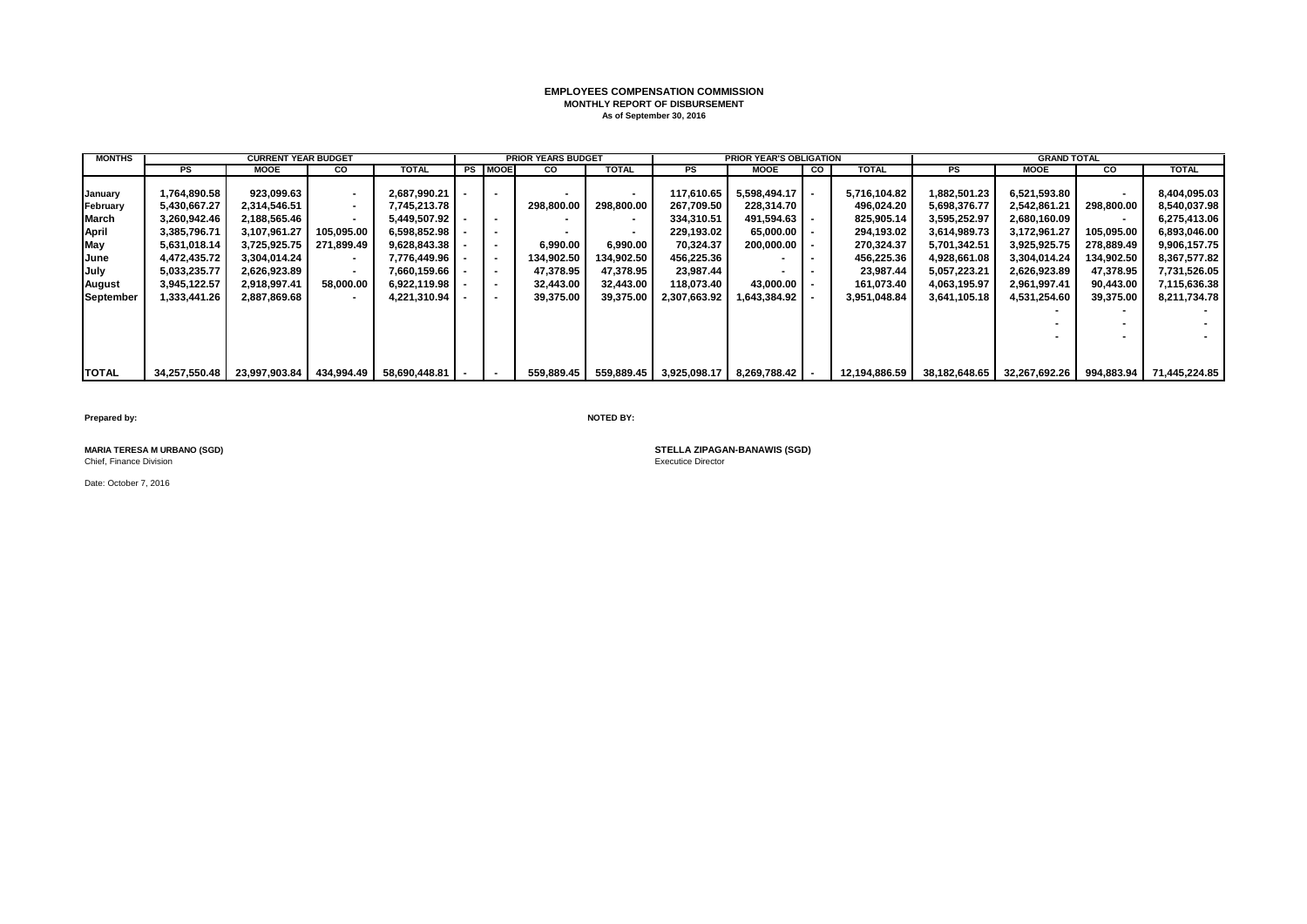# **EMPLOYEES COMPENSATION COMMISSION MONTHLY REPORT OF DISBURSEMENT As of September 30, 2016**

| <b>MONTHS</b> |               | <b>CURRENT YEAR BUDGET</b> |                          |                |    |                | <b>PRIOR YEARS BUDGET</b> |                |              | <b>PRIOR YEAR'S OBLIGATION</b>       |    |               |               | <b>GRAND TOTAL</b> |                |               |
|---------------|---------------|----------------------------|--------------------------|----------------|----|----------------|---------------------------|----------------|--------------|--------------------------------------|----|---------------|---------------|--------------------|----------------|---------------|
|               | PS            | MOOE                       | <b>CO</b>                | TOTAL          | PS | <b>MOOE</b>    | <b>CO</b>                 | TOTAL          | PS           | MOOE                                 | CO | <b>TOTAL</b>  | PS            | <b>MOOE</b>        | <b>CO</b>      | <b>TOTAL</b>  |
|               |               |                            |                          |                |    |                |                           |                |              |                                      |    |               |               |                    |                |               |
| January       | 1,764,890.58  | 923,099.63                 |                          | 2,687,990.21   |    | $\blacksquare$ |                           | $\blacksquare$ | 117,610.65   | 5,598,494.17                         |    | 5,716,104.82  | 1,882,501.23  | 6,521,593.80       | $\blacksquare$ | 8,404,095.03  |
| February      | 5,430,667.27  | 2,314,546.51               | $\sim$                   | 7,745,213.78   |    |                | 298.800.00                | 298,800.00     | 267.709.50   | 228.314.70                           |    | 496.024.20    | 5,698,376.77  | 2,542,861.21       | 298.800.00     | 8,540,037.98  |
| March         | 3,260,942.46  | 2,188,565.46               |                          | 5,449,507.92   |    | $\sim$         |                           |                | 334,310.51   | 491,594.63                           |    | 825,905.14    | 3,595,252.97  | 2,680,160.09       | $\sim$         | 6,275,413.06  |
| April         | 3,385,796.71  | 3,107,961.27               | 105,095.00               | 6,598,852.98   |    | $\blacksquare$ |                           | $\blacksquare$ | 229.193.02   | 65.000.00                            |    | 294,193.02    | 3,614,989.73  | 3,172,961.27       | 105,095.00     | 6,893,046.00  |
| May           | 5,631,018.14  | 3,725,925.75               | 271.899.49               | 9,628,843.38   |    | $\blacksquare$ | 6.990.00                  | 6,990.00       | 70.324.37    | 200,000.00                           |    | 270,324.37    | 5,701,342.51  | 3,925,925.75       | 278,889.49     | 9,906,157.75  |
| June          | 4,472,435.72  | 3,304,014.24               | $\overline{\phantom{a}}$ | 7.776.449.96 l |    | $\blacksquare$ | 134,902.50                | 134,902.50     | 456,225.36   |                                      |    | 456,225.36    | 4,928,661.08  | 3,304,014.24       | 134,902.50     | 8.367.577.82  |
| <b>July</b>   | 5,033,235.77  | 2,626,923.89               | $\overline{\phantom{a}}$ | 7.660.159.66   |    | $\blacksquare$ | 47,378.95                 | 47.378.95      | 23.987.44    |                                      |    | 23,987.44     | 5,057,223.21  | 2,626,923.89       | 47,378.95      | 7,731,526.05  |
| August        | 3,945,122.57  | 2,918,997.41               | 58,000.00                | 6,922,119.98   |    | $\blacksquare$ | 32,443.00                 | 32,443.00      | 118,073.40   | 43.000.00                            |    | 161,073.40    | 4,063,195.97  | 2,961,997.41       | 90,443.00      | 7,115,636.38  |
| September     | 1,333,441.26  | 2,887,869.68               | $\overline{\phantom{a}}$ | 4,221,310.94   |    | $\blacksquare$ | 39,375.00                 | 39,375.00      | 2,307,663.92 | ا 643,384.92. ا                      |    | 3,951,048.84  | 3,641,105.18  | 4,531,254.60       | 39,375.00      | 8,211,734.78  |
|               |               |                            |                          |                |    |                |                           |                |              |                                      |    |               |               |                    | $\sim$         |               |
|               |               |                            |                          |                |    |                |                           |                |              |                                      |    |               |               |                    |                |               |
|               |               |                            |                          |                |    |                |                           |                |              |                                      |    |               |               |                    | $\sim$         |               |
|               |               |                            |                          |                |    |                |                           |                |              |                                      |    |               |               |                    |                |               |
|               |               |                            |                          |                |    |                |                           |                |              |                                      |    |               |               |                    |                |               |
| <b>TOTAL</b>  | 34,257,550.48 | 23,997,903.84   434,994.49 |                          | 58,690,448.81  |    | $\blacksquare$ | 559,889.45                |                |              | 559,889.45 3,925,098.17 8,269,788.42 |    | 12,194,886.59 | 38,182,648.65 | 32,267,692.26      | 994,883.94     | 71,445,224.85 |

**Prepared by: NOTED BY:**

Chief, Finance Division

Date: October 7, 2016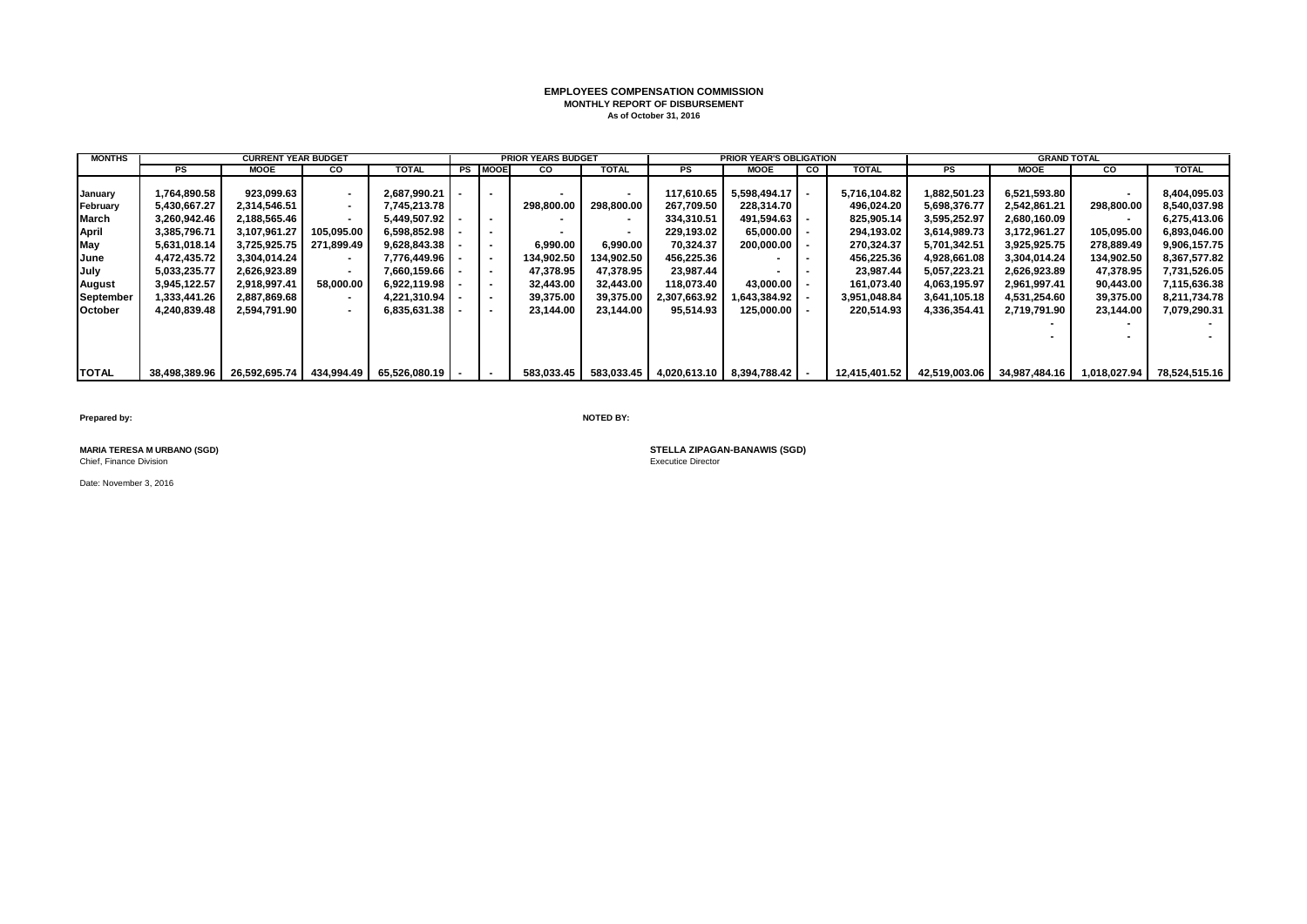# **EMPLOYEES COMPENSATION COMMISSION MONTHLY REPORT OF DISBURSEMENT As of October 31, 2016**

| <b>MONTHS</b> |               | <b>CURRENT YEAR BUDGET</b> |                          |                 |                | <b>PRIOR YEARS BUDGET</b> |                |              | <b>PRIOR YEAR'S OBLIGATION</b> |           |               |               | <b>GRAND TOTAL</b> |                |               |
|---------------|---------------|----------------------------|--------------------------|-----------------|----------------|---------------------------|----------------|--------------|--------------------------------|-----------|---------------|---------------|--------------------|----------------|---------------|
|               | PS            | MOOE                       | <b>CO</b>                | TOTAL           | <b>PS MOOE</b> | <b>CO</b>                 | <b>TOTAL</b>   | PS           | <b>MOOE</b>                    | <b>CO</b> | TOTAL         | PS            | MOOE               | CO.            | <b>TOTAL</b>  |
|               |               |                            |                          |                 |                |                           |                |              |                                |           |               |               |                    |                |               |
| January       | 1,764,890.58  | 923.099.63                 |                          | 2.687.990.21    |                |                           |                | 117,610.65   | 5,598,494.17                   |           | 5,716,104.82  | 1,882,501.23  | 6,521,593.80       | $\blacksquare$ | 8,404,095.03  |
| February      | 5,430,667.27  | 2.314.546.51               | $\sim$                   | 7.745.213.78    |                | 298.800.00                | 298.800.00     | 267.709.50   | 228.314.70                     |           | 496,024.20    | 5,698,376.77  | 2,542,861.21       | 298,800.00     | 8,540,037.98  |
| March         | 3,260,942.46  | 2,188,565.46               |                          | 5.449.507.92    | $\sim$         |                           |                | 334,310.51   | 491,594.63                     |           | 825,905.14    | 3,595,252.97  | 2,680,160.09       | $\,$           | 6,275,413.06  |
| April         | 3,385,796.71  | 3.107.961.27               | 105,095.00               | 6,598,852.98    |                |                           | $\blacksquare$ | 229.193.02   | 65.000.00                      |           | 294,193.02    | 3,614,989.73  | 3,172,961.27       | 105,095.00     | 6,893,046.00  |
| May           | 5,631,018.14  | 3,725,925.75               | 271.899.49               | 9,628,843.38    |                | 6.990.00                  | 6.990.00       | 70.324.37    | 200,000.00                     |           | 270,324.37    | 5,701,342.51  | 3,925,925.75       | 278,889.49     | 9,906,157.75  |
| June          | 4,472,435.72  | 3,304,014.24               |                          | 7.776.449.96    |                | 134,902.50                | 134.902.50     | 456.225.36   |                                |           | 456,225.36    | 4,928,661.08  | 3,304,014.24       | 134,902.50     | 8,367,577.82  |
| July          | 5,033,235.77  | 2,626,923.89               |                          | 7,660,159.66    |                | 47,378.95                 | 47.378.95      | 23,987.44    |                                |           | 23.987.44     | 5,057,223.21  | 2,626,923.89       | 47,378.95      | 7,731,526.05  |
| August        | 3,945,122.57  | 2,918,997.41               | 58,000.00                | 6,922,119.98    |                | 32,443.00                 | 32,443.00      | 118,073.40   | 43.000.00                      |           | 161,073.40    | 4,063,195.97  | 2.961.997.41       | 90,443.00      | 7,115,636.38  |
| September     | 1,333,441.26  | 2,887,869.68               | $\overline{\phantom{a}}$ | 4,221,310.94    |                | 39,375.00                 | 39,375.00      | 2,307,663.92 | 1,643,384.92                   |           | 3,951,048.84  | 3,641,105.18  | 4,531,254.60       | 39,375.00      | 8,211,734.78  |
| October       | 4,240,839.48  | 2,594,791.90               |                          | 6,835,631.38    |                | 23,144.00                 | 23,144.00      | 95,514.93    | 125,000.00                     |           | 220,514.93    | 4,336,354.41  | 2,719,791.90       | 23,144.00      | 7,079,290.31  |
|               |               |                            |                          |                 |                |                           |                |              |                                |           |               |               |                    | $\sim$         |               |
|               |               |                            |                          |                 |                |                           |                |              |                                |           |               |               |                    |                |               |
|               |               |                            |                          |                 |                |                           |                |              |                                |           |               |               |                    |                |               |
|               |               |                            |                          |                 |                |                           |                |              |                                |           |               |               |                    |                |               |
| <b>TOTAL</b>  | 38,498,389.96 | 26,592,695.74              | 434,994.49               | 65,526,080.19 - |                | 583,033.45                | 583,033.45     | 4,020,613.10 | $8,394,788.42$ -               |           | 12,415,401.52 | 42,519,003.06 | 34,987,484.16      | 1,018,027.94   | 78,524,515.16 |

**Prepared by: NOTED BY:**

Chief, Finance Division

Date: November 3, 2016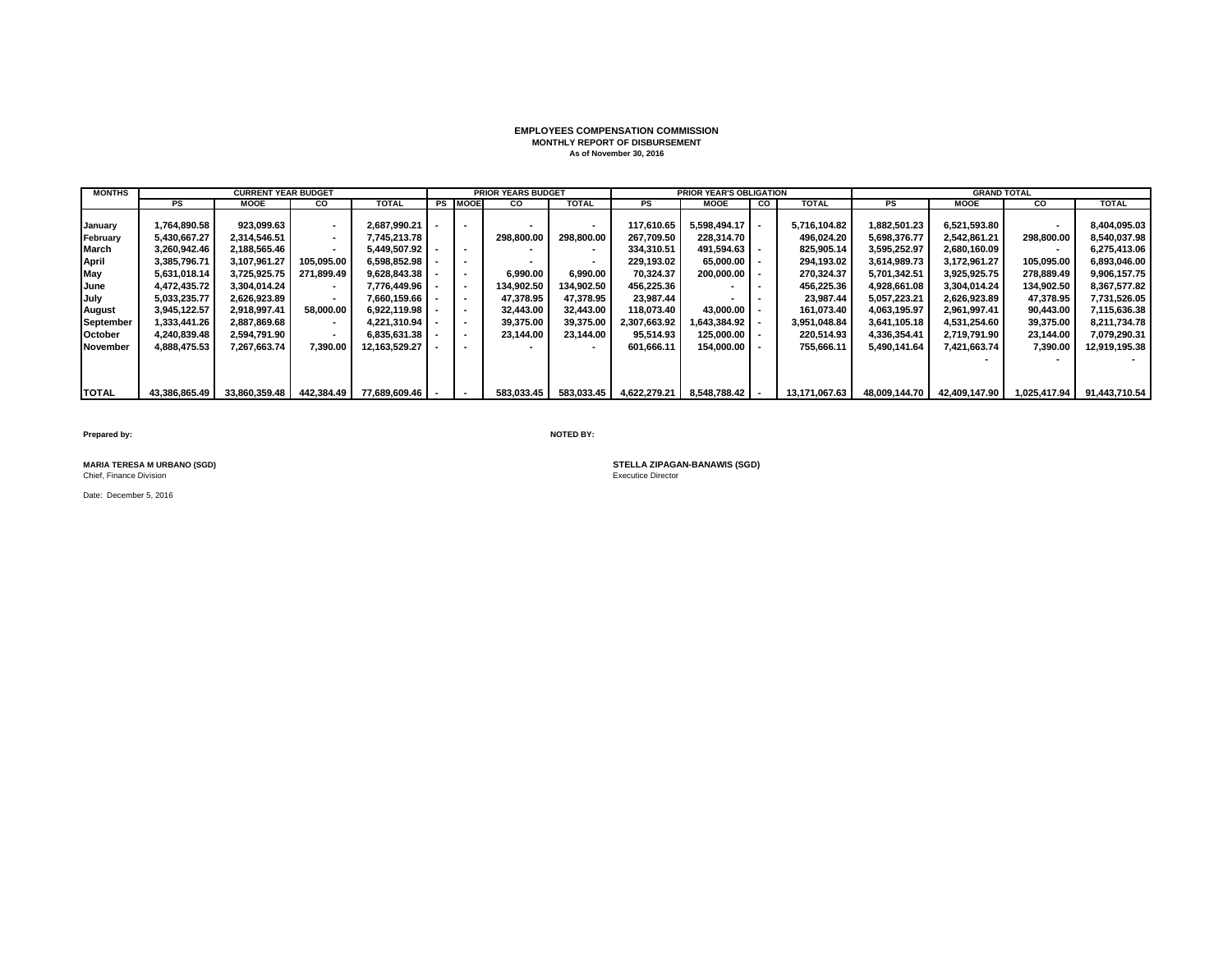# **EMPLOYEES COMPENSATION COMMISSION MONTHLY REPORT OF DISBURSEMENT As of November 30, 2016**

| <b>MONTHS</b> |               | <b>CURRENT YEAR BUDGET</b> |            |               |                          | <b>PRIOR YEARS BUDGET</b> |              |              | <b>PRIOR YEAR'S OBLIGATION</b> |    |               |               | <b>GRAND TOTAL</b> |                          |               |
|---------------|---------------|----------------------------|------------|---------------|--------------------------|---------------------------|--------------|--------------|--------------------------------|----|---------------|---------------|--------------------|--------------------------|---------------|
|               | <b>PS</b>     | MOOE                       | <b>CO</b>  | <b>TOTAL</b>  | <b>PS MOOE</b>           | <b>CO</b>                 | <b>TOTAL</b> | PS           | <b>MOOE</b>                    | CO | <b>TOTAL</b>  | PS            | <b>MOOE</b>        | <b>CO</b>                | <b>TOTAL</b>  |
|               |               |                            |            |               |                          |                           |              |              |                                |    |               |               |                    |                          |               |
| Januarv       | 1.764.890.58  | 923.099.63                 |            | 2.687.990.21  | $\sim$                   |                           |              | 117.610.65   | $5.598.494.17$ -               |    | 5.716.104.82  | 1.882.501.23  | 6,521,593.80       | $\sim$                   | 8,404,095.03  |
| February      | 5.430.667.27  | 2.314.546.51               |            | 7.745.213.78  |                          | 298.800.00                | 298.800.00   | 267.709.50   | 228.314.70                     |    | 496,024.20    | 5,698,376.77  | 2.542.861.21       | 298,800.00               | 8,540,037.98  |
| March         | 3.260.942.46  | 2.188.565.46               |            | 5.449.507.92  | $\overline{\phantom{a}}$ |                           |              | 334.310.51   | 491.594.63 -                   |    | 825.905.14    | 3,595,252.97  | 2.680.160.09       | $\overline{\phantom{a}}$ | 6,275,413.06  |
| April         | 3.385.796.71  | 3.107.961.27               | 105.095.00 | 6.598.852.98  | $\sim$                   |                           |              | 229.193.02   | $65.000.00$ $\vert$ -          |    | 294.193.02    | 3,614,989.73  | 3.172.961.27       | 105.095.00               | 6,893,046.00  |
| May           | 5,631,018.14  | 3,725,925.75               | 271.899.49 | 9.628.843.38  | $\overline{\phantom{a}}$ | 6.990.00                  | 6.990.00     | 70.324.37    | $200.000.00$ $\blacksquare$    |    | 270.324.37    | 5,701,342.51  | 3,925,925.75       | 278,889.49               | 9,906,157.75  |
| June          | 4.472.435.72  | 3,304,014.24               |            | 7.776.449.96  | $\sim$                   | 134.902.50                | 134.902.50   | 456.225.36   |                                |    | 456.225.36    | 4.928.661.08  | 3.304.014.24       | 134.902.50               | 8,367,577.82  |
| July          | 5,033,235.77  | 2,626,923.89               |            | 7.660.159.66  |                          | 47,378.95                 | 47.378.95    | 23.987.44    |                                |    | 23.987.44     | 5,057,223.21  | 2,626,923.89       | 47.378.95                | 7,731,526.05  |
| <b>August</b> | 3,945,122.57  | 2.918.997.41               | 58.000.00  | 6.922.119.98  | $\sim$                   | 32.443.00                 | 32.443.00    | 118.073.40   | 43.000.00                      |    | 161.073.40    | 4.063.195.97  | 2.961.997.41       | 90.443.00                | 7,115,636.38  |
| September     | 1,333,441.26  | 2.887.869.68               |            | 4.221.310.94  | $\overline{\phantom{a}}$ | 39,375.00                 | 39,375.00    | 2,307,663.92 | 1.643.384.92                   |    | 3,951,048.84  | 3,641,105.18  | 4.531.254.60       | 39.375.00                | 8,211,734.78  |
| October       | 4,240,839.48  | 2,594,791.90               |            | 6,835,631.38  | $\overline{\phantom{a}}$ | 23,144.00                 | 23.144.00    | 95.514.93    | $125,000.00 -$                 |    | 220,514.93    | 4,336,354.41  | 2,719,791.90       | 23,144.00                | 7,079,290.31  |
| November      | 4,888,475.53  | 7.267.663.74               | 7,390.00   | 12.163.529.27 |                          |                           |              | 601.666.11   | 154.000.00                     |    | 755.666.11    | 5.490.141.64  | 7.421.663.74       | 7,390.00                 | 12,919,195.38 |
|               |               |                            |            |               |                          |                           |              |              |                                |    |               |               |                    |                          |               |
|               |               |                            |            |               |                          |                           |              |              |                                |    |               |               |                    |                          |               |
|               |               |                            |            |               |                          |                           |              |              |                                |    |               |               |                    |                          |               |
| <b>TOTAL</b>  | 43.386.865.49 | 33.860.359.48              | 442.384.49 | 77.689.609.46 | $\overline{\phantom{a}}$ | 583,033.45                | 583,033.45   | 4.622.279.21 | $8.548.788.42$ -               |    | 13,171,067.63 | 48.009.144.70 | 42.409.147.90      | 1.025.417.94             | 91.443.710.54 |

**Prepared by: NOTED BY:**

**MARIA TERESA M URBANO (SGD)**<br>Chief, Finance Division

Date: December 5, 2016

**STELLA ZIPAGAN-BANAWIS (SGD)**<br>Executice Director